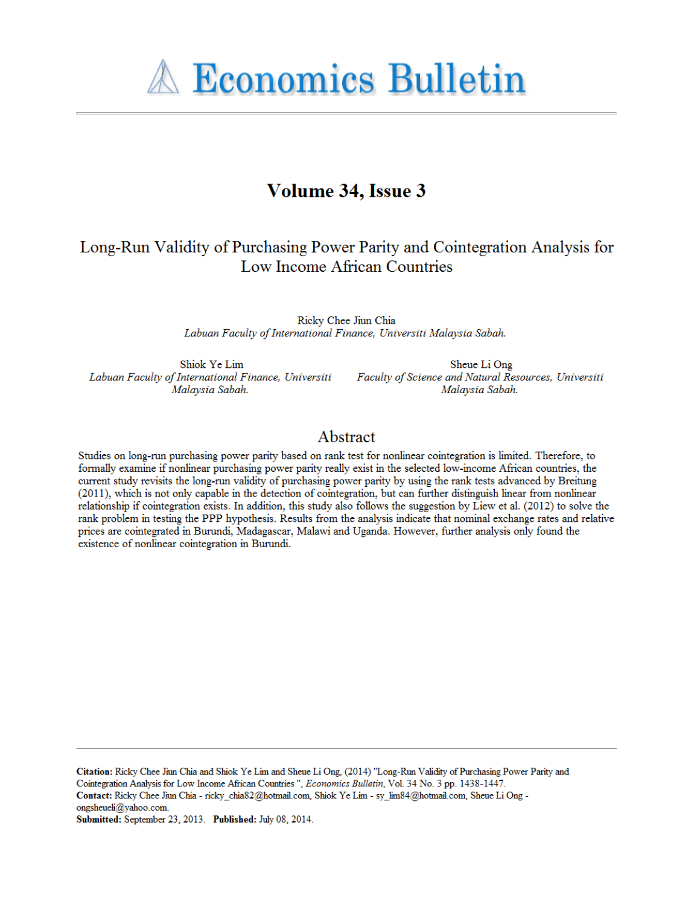**A Economics Bulletin** 

# Volume 34, Issue 3

## Long-Run Validity of Purchasing Power Parity and Cointegration Analysis for Low Income African Countries

Ricky Chee Jiun Chia Labuan Faculty of International Finance, Universiti Malaysia Sabah.

Shiok Ye Lim Labuan Faculty of International Finance, Universiti Malaysia Sabah.

Sheue Li Ong Faculty of Science and Natural Resources, Universiti Malaysia Sabah.

## Abstract

Studies on long-run purchasing power parity based on rank test for nonlinear cointegration is limited. Therefore, to formally examine if nonlinear purchasing power parity really exist in the selected low-income African countries, the current study revisits the long-run validity of purchasing power parity by using the rank tests advanced by Breitung (2011), which is not only capable in the detection of cointegration, but can further distinguish linear from nonlinear relationship if cointegration exists. In addition, this study also follows the suggestion by Liew et al. (2012) to solve the rank problem in testing the PPP hypothesis. Results from the analysis indicate that nominal exchange rates and relative prices are cointegrated in Burundi, Madagascar, Malawi and Uganda. However, further analysis only found the existence of nonlinear cointegration in Burundi.

Citation: Ricky Chee Jiun Chia and Shiok Ye Lim and Sheue Li Ong, (2014) "Long-Run Validity of Purchasing Power Parity and Cointegration Analysis for Low Income African Countries ", Economics Bulletin, Vol. 34 No. 3 pp. 1438-1447.

Contact: Ricky Chee Jiun Chia - ricky\_chia82@hotmail.com, Shiok Ye Lim - sy\_lim84@hotmail.com, Sheue Li Ong ongsheueli@yahoo.com.

Submitted: September 23, 2013. Published: July 08, 2014.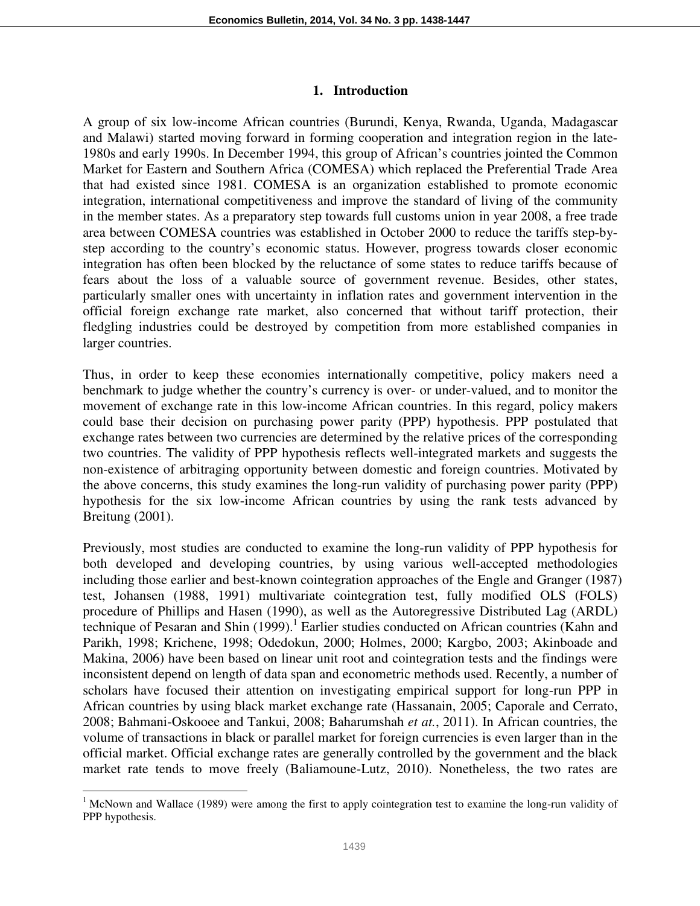#### **1. Introduction**

A group of six low-income African countries (Burundi, Kenya, Rwanda, Uganda, Madagascar and Malawi) started moving forward in forming cooperation and integration region in the late-1980s and early 1990s. In December 1994, this group of African's countries jointed the Common Market for Eastern and Southern Africa (COMESA) which replaced the Preferential Trade Area that had existed since 1981. COMESA is an organization established to promote economic integration, international competitiveness and improve the standard of living of the community in the member states. As a preparatory step towards full customs union in year 2008, a free trade area between COMESA countries was established in October 2000 to reduce the tariffs step-bystep according to the country's economic status. However, progress towards closer economic integration has often been blocked by the reluctance of some states to reduce tariffs because of fears about the loss of a valuable source of government revenue. Besides, other states, particularly smaller ones with uncertainty in inflation rates and government intervention in the official foreign exchange rate market, also concerned that without tariff protection, their fledgling industries could be destroyed by competition from more established companies in larger countries.

Thus, in order to keep these economies internationally competitive, policy makers need a benchmark to judge whether the country's currency is over- or under-valued, and to monitor the movement of exchange rate in this low-income African countries. In this regard, policy makers could base their decision on purchasing power parity (PPP) hypothesis. PPP postulated that exchange rates between two currencies are determined by the relative prices of the corresponding two countries. The validity of PPP hypothesis reflects well-integrated markets and suggests the non-existence of arbitraging opportunity between domestic and foreign countries. Motivated by the above concerns, this study examines the long-run validity of purchasing power parity (PPP) hypothesis for the six low-income African countries by using the rank tests advanced by Breitung (2001).

Previously, most studies are conducted to examine the long-run validity of PPP hypothesis for both developed and developing countries, by using various well-accepted methodologies including those earlier and best-known cointegration approaches of the Engle and Granger (1987) test, Johansen (1988, 1991) multivariate cointegration test, fully modified OLS (FOLS) procedure of Phillips and Hasen (1990), as well as the Autoregressive Distributed Lag (ARDL) technique of Pesaran and Shin (1999).<sup>1</sup> Earlier studies conducted on African countries (Kahn and Parikh, 1998; Krichene, 1998; Odedokun, 2000; Holmes, 2000; Kargbo, 2003; Akinboade and Makina, 2006) have been based on linear unit root and cointegration tests and the findings were inconsistent depend on length of data span and econometric methods used. Recently, a number of scholars have focused their attention on investigating empirical support for long-run PPP in African countries by using black market exchange rate (Hassanain, 2005; Caporale and Cerrato, 2008; Bahmani-Oskooee and Tankui, 2008; Baharumshah *et at.*, 2011). In African countries, the volume of transactions in black or parallel market for foreign currencies is even larger than in the official market. Official exchange rates are generally controlled by the government and the black market rate tends to move freely (Baliamoune-Lutz, 2010). Nonetheless, the two rates are

 $\overline{a}$ 

<sup>&</sup>lt;sup>1</sup> McNown and Wallace (1989) were among the first to apply cointegration test to examine the long-run validity of PPP hypothesis.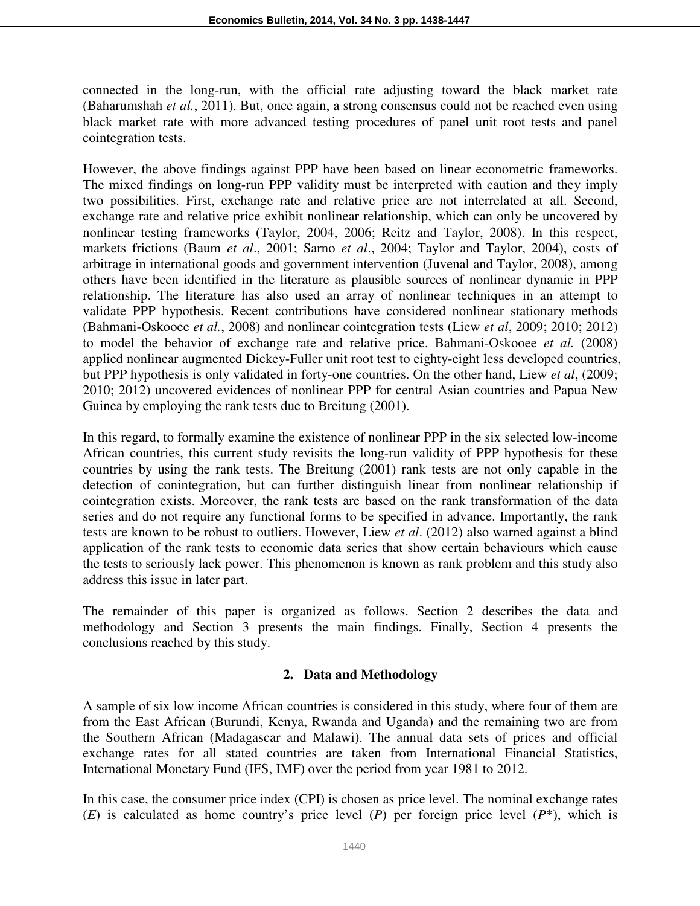connected in the long-run, with the official rate adjusting toward the black market rate (Baharumshah *et al.*, 2011). But, once again, a strong consensus could not be reached even using black market rate with more advanced testing procedures of panel unit root tests and panel cointegration tests.

However, the above findings against PPP have been based on linear econometric frameworks. The mixed findings on long-run PPP validity must be interpreted with caution and they imply two possibilities. First, exchange rate and relative price are not interrelated at all. Second, exchange rate and relative price exhibit nonlinear relationship, which can only be uncovered by nonlinear testing frameworks (Taylor, 2004, 2006; Reitz and Taylor, 2008). In this respect, markets frictions (Baum *et al*., 2001; Sarno *et al*., 2004; Taylor and Taylor, 2004), costs of arbitrage in international goods and government intervention (Juvenal and Taylor, 2008), among others have been identified in the literature as plausible sources of nonlinear dynamic in PPP relationship. The literature has also used an array of nonlinear techniques in an attempt to validate PPP hypothesis. Recent contributions have considered nonlinear stationary methods (Bahmani-Oskooee *et al.*, 2008) and nonlinear cointegration tests (Liew *et al*, 2009; 2010; 2012) to model the behavior of exchange rate and relative price. Bahmani-Oskooee *et al.* (2008) applied nonlinear augmented Dickey-Fuller unit root test to eighty-eight less developed countries, but PPP hypothesis is only validated in forty-one countries. On the other hand, Liew *et al*, (2009; 2010; 2012) uncovered evidences of nonlinear PPP for central Asian countries and Papua New Guinea by employing the rank tests due to Breitung (2001).

In this regard, to formally examine the existence of nonlinear PPP in the six selected low-income African countries, this current study revisits the long-run validity of PPP hypothesis for these countries by using the rank tests. The Breitung (2001) rank tests are not only capable in the detection of conintegration, but can further distinguish linear from nonlinear relationship if cointegration exists. Moreover, the rank tests are based on the rank transformation of the data series and do not require any functional forms to be specified in advance. Importantly, the rank tests are known to be robust to outliers. However, Liew *et al*. (2012) also warned against a blind application of the rank tests to economic data series that show certain behaviours which cause the tests to seriously lack power. This phenomenon is known as rank problem and this study also address this issue in later part.

The remainder of this paper is organized as follows. Section 2 describes the data and methodology and Section 3 presents the main findings. Finally, Section 4 presents the conclusions reached by this study.

## **2. Data and Methodology**

A sample of six low income African countries is considered in this study, where four of them are from the East African (Burundi, Kenya, Rwanda and Uganda) and the remaining two are from the Southern African (Madagascar and Malawi). The annual data sets of prices and official exchange rates for all stated countries are taken from International Financial Statistics, International Monetary Fund (IFS, IMF) over the period from year 1981 to 2012.

In this case, the consumer price index (CPI) is chosen as price level. The nominal exchange rates (*E*) is calculated as home country's price level (*P*) per foreign price level ( $P^*$ ), which is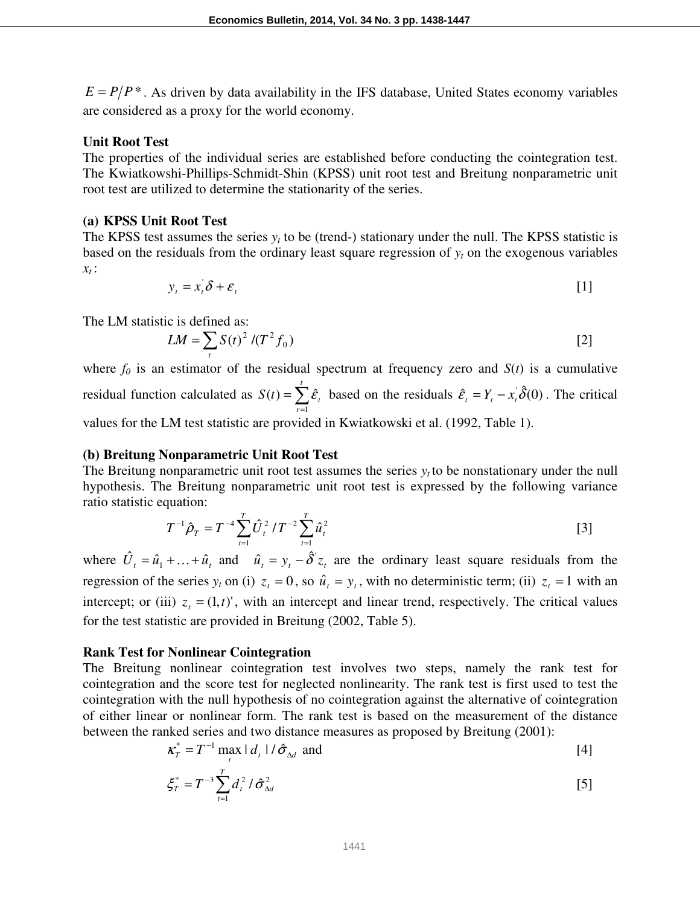$E = P/P^*$ . As driven by data availability in the IFS database, United States economy variables are considered as a proxy for the world economy.

#### **Unit Root Test**

The properties of the individual series are established before conducting the cointegration test. The Kwiatkowshi-Phillips-Schmidt-Shin (KPSS) unit root test and Breitung nonparametric unit root test are utilized to determine the stationarity of the series.

#### **(a) KPSS Unit Root Test**

The KPSS test assumes the series  $y_t$  to be (trend-) stationary under the null. The KPSS statistic is based on the residuals from the ordinary least square regression of  $y_t$  on the exogenous variables *xt* :

$$
y_t = x_t \delta + \varepsilon_t \tag{1}
$$

The LM statistic is defined as:

$$
LM = \sum_{t} S(t)^2 / (T^2 f_0)
$$
 [2]

where  $f_0$  is an estimator of the residual spectrum at frequency zero and  $S(t)$  is a cumulative residual function calculated as  $S(t) = \sum_{n=1}^{\infty}$ = = *t r*  $S(t) = \sum \hat{\mathcal{E}}_t$ 1  $(t) = \sum \hat{\varepsilon}_t$  based on the residuals  $\hat{\varepsilon}_t = Y_t - x_t \hat{\delta}(0)$ . The critical values for the LM test statistic are provided in Kwiatkowski et al. (1992, Table 1).

#### **(b) Breitung Nonparametric Unit Root Test**

The Breitung nonparametric unit root test assumes the series  $y_t$  to be nonstationary under the null hypothesis. The Breitung nonparametric unit root test is expressed by the following variance ratio statistic equation:

$$
T^{-1}\hat{\rho}_T = T^{-4}\sum_{t=1}^T \hat{U}_t^2 / T^{-2}\sum_{t=1}^T \hat{u}_t^2
$$
 [3]

where  $\hat{U}_t = \hat{u}_1 + \dots + \hat{u}_t$  and  $\hat{u}_t = y_t - \hat{\delta} z_t$  are the ordinary least square residuals from the regression of the series  $y_t$  on (i)  $z_t = 0$ , so  $\hat{u}_t = y_t$ , with no deterministic term; (ii)  $z_t = 1$  with an intercept; or (iii)  $z_t = (1, t)$ ', with an intercept and linear trend, respectively. The critical values for the test statistic are provided in Breitung (2002, Table 5).

#### **Rank Test for Nonlinear Cointegration**

The Breitung nonlinear cointegration test involves two steps, namely the rank test for cointegration and the score test for neglected nonlinearity. The rank test is first used to test the cointegration with the null hypothesis of no cointegration against the alternative of cointegration of either linear or nonlinear form. The rank test is based on the measurement of the distance between the ranked series and two distance measures as proposed by Breitung (2001):

$$
\kappa_T^* = T^{-1} \max_t |d_t| / \hat{\sigma}_{\Delta d} \text{ and } \tag{4}
$$

$$
\xi_T^* = T^{-3} \sum_{t=1}^T d_t^2 / \hat{\sigma}_{\Delta d}^2
$$
 [5]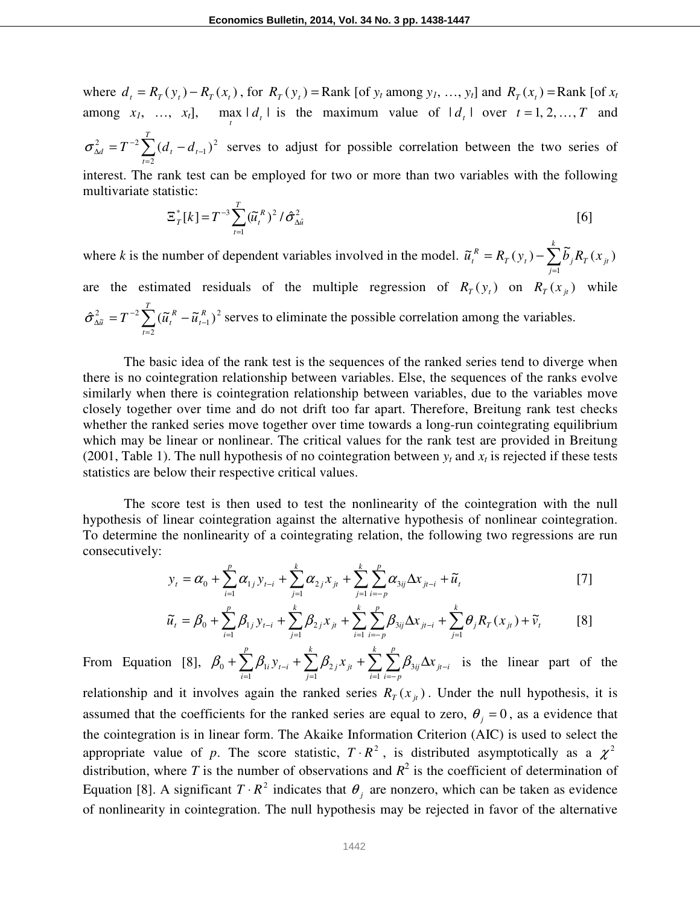where  $d_t = R_T(y_t) - R_T(x_t)$ , for  $R_T(y_t) =$ Rank [of  $y_t$  among  $y_t$ , ...,  $y_t$ ] and  $R_T(x_t) =$ Rank [of  $x_t$ among  $x_1$ , ...,  $x_t$ ], max  $|d_t|$  is the maximum value of  $|d_t|$  over  $t = 1, 2, ..., T$  and  $\dot{\sum}$ = −  $\frac{c_2}{\Delta d} = T^{-2} \sum (d_t -$ *T t*  $d_d = T^{-2} \sum (d_t - d_t)$ 2 2  $\sigma_{\Delta d}^2 = T^{-2} \sum (d_t - d_{t-1})^2$  serves to adjust for possible correlation between the two series of interest. The rank test can be employed for two or more than two variables with the following multivariate statistic: *T*

$$
\Xi_{T}^{*}[k] = T^{-3} \sum_{t=1}^{T} (\widetilde{u}_{t}^{R})^{2} / \widehat{\sigma}_{\Delta \widehat{u}}^{2}
$$
 [6]

where *k* is the number of dependent variables involved in the model.  $\tilde{u}_t^R = R_T(y_t) - \sum_{k=1}^{N}$ =  $= R_T(y_t)$ *k j*  $T \left( Y_t \right) = \sum_j U_j \mathbf{1}_{T} \left( X_j \right)$  $\widetilde{u}_t^R = R_T(y_t) - \sum \widetilde{b}_j R_T(x_t)$ 1  $\widetilde{u}_t^R = R_T(y_t) - \sum_{i}^{k} \widetilde{b}_i R_T(x_{it})$ are the estimated residuals of the multiple regression of  $R_T(y_t)$  on  $R_T(x_{jt})$  while  $\sum$ = −  $\frac{2}{\Delta \widetilde{u}} = T^{-2} \sum (\widetilde{u}_t^{R} -$ *T t R t*  $\tilde{u}_{\tilde{\mu}} = T^{-2} \sum (\tilde{u}_{t}^{R} - \tilde{u}_{t})$ 2 2 1  $\hat{\sigma}_{\lambda \tilde{u}}^2 = T^{-2} \sum_{i=1}^{I} (\tilde{u}_i^R - \tilde{u}_{i-1}^R)^2$  serves to eliminate the possible correlation among the variables.

 The basic idea of the rank test is the sequences of the ranked series tend to diverge when there is no cointegration relationship between variables. Else, the sequences of the ranks evolve similarly when there is cointegration relationship between variables, due to the variables move closely together over time and do not drift too far apart. Therefore, Breitung rank test checks whether the ranked series move together over time towards a long-run cointegrating equilibrium which may be linear or nonlinear. The critical values for the rank test are provided in Breitung (2001, Table 1). The null hypothesis of no cointegration between  $y_t$  and  $x_t$  is rejected if these tests statistics are below their respective critical values.

 The score test is then used to test the nonlinearity of the cointegration with the null hypothesis of linear cointegration against the alternative hypothesis of nonlinear cointegration. To determine the nonlinearity of a cointegrating relation, the following two regressions are run consecutively:

$$
y_{t} = \alpha_{0} + \sum_{i=1}^{p} \alpha_{1j} y_{t-i} + \sum_{j=1}^{k} \alpha_{2j} x_{jt} + \sum_{j=1}^{k} \sum_{i=-p}^{p} \alpha_{3ij} \Delta x_{jt-i} + \tilde{u}_{t}
$$
 [7]

$$
\widetilde{u}_{t} = \beta_{0} + \sum_{i=1}^{p} \beta_{1j} y_{t-i} + \sum_{j=1}^{k} \beta_{2j} x_{jt} + \sum_{i=1}^{k} \sum_{i=-p}^{p} \beta_{3ij} \Delta x_{jt-i} + \sum_{j=1}^{k} \theta_{j} R_{T}(x_{jt}) + \widetilde{v}_{t}
$$
 [8]

From Equation [8],  $\beta_0 + \sum_{i=1}^{n} \beta_{i} y_{t-i} + \sum_{i=1}^{n} \beta_{i} x_{jt} + \sum_{i=1}^{n} \sum_{i=1}^{n} \sum_{j=1}^{n}$  $=1$  i= −  $=1$   $j=$  $+ \sum \beta_{\text{i}} \, y_{\text{\tiny $t-i$}} + \sum \beta_{\text{\tiny $2\,j$}} x_{\text{\tiny $jt$}} + \sum \sum \beta_{\text{\tiny $3\,ij$}} \Delta$ *k i p i* = *p*  $ij \rightarrow u$   $j t - i$ *k j j jt p i*  $\sum_j \beta_{2j} x_{jt} + \sum_j \sum_j \beta_{3ij} \Delta x_{jt}$ 1 3 1 2 1  $\beta_0 + \sum \beta_{1i} y_{t-i} + \sum \beta_{2j} x_{jt} + \sum \sum \beta_{3ij} \Delta x_{jt-i}$  is the linear part of the relationship and it involves again the ranked series  $R_t(x_i)$ . Under the null hypothesis, it is

assumed that the coefficients for the ranked series are equal to zero,  $\theta_j = 0$ , as a evidence that the cointegration is in linear form. The Akaike Information Criterion (AIC) is used to select the appropriate value of p. The score statistic,  $T \cdot R^2$ , is distributed asymptotically as a  $\chi^2$ distribution, where *T* is the number of observations and  $R^2$  is the coefficient of determination of Equation [8]. A significant  $T \cdot R^2$  indicates that  $\theta_j$  are nonzero, which can be taken as evidence of nonlinearity in cointegration. The null hypothesis may be rejected in favor of the alternative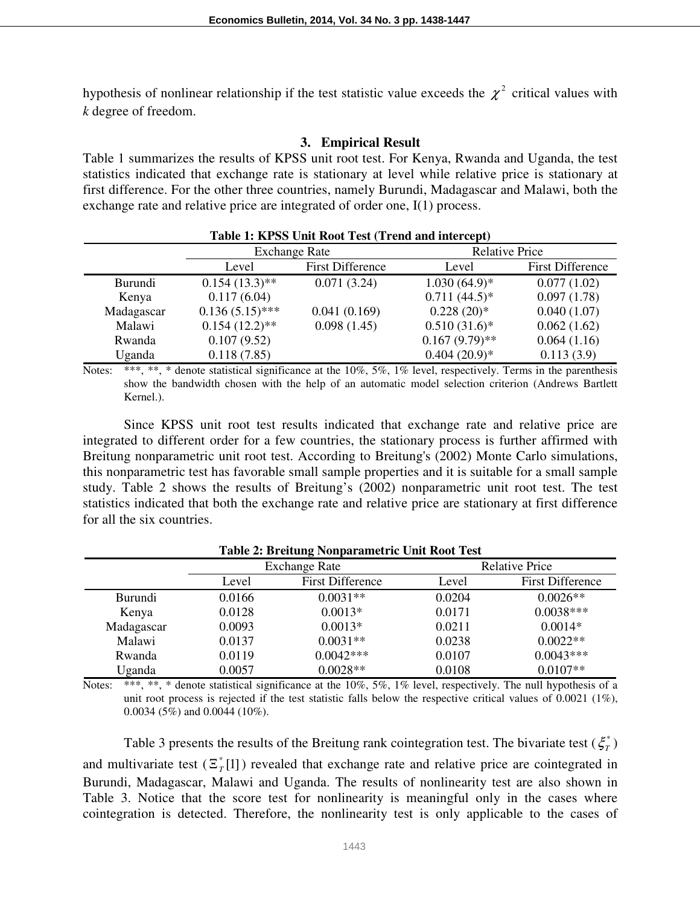hypothesis of nonlinear relationship if the test statistic value exceeds the  $\chi^2$  critical values with *k* degree of freedom.

#### **3. Empirical Result**

Table 1 summarizes the results of KPSS unit root test. For Kenya, Rwanda and Uganda, the test statistics indicated that exchange rate is stationary at level while relative price is stationary at first difference. For the other three countries, namely Burundi, Madagascar and Malawi, both the exchange rate and relative price are integrated of order one, I(1) process.

| Table 1: KPSS Unit Root Test (Trend and intercept) |                      |                         |                       |                         |  |
|----------------------------------------------------|----------------------|-------------------------|-----------------------|-------------------------|--|
|                                                    | <b>Exchange Rate</b> |                         | <b>Relative Price</b> |                         |  |
|                                                    | Level                | <b>First Difference</b> | Level                 | <b>First Difference</b> |  |
| <b>Burundi</b>                                     | $0.154(13.3)$ **     | 0.071(3.24)             | $1.030(64.9)*$        | 0.077(1.02)             |  |
| Kenya                                              | 0.117(6.04)          |                         | $0.711(44.5)^*$       | 0.097(1.78)             |  |
| Madagascar                                         | $0.136(5.15)$ ***    | 0.041(0.169)            | $0.228(20)*$          | 0.040(1.07)             |  |
| Malawi                                             | $0.154(12.2)$ **     | 0.098(1.45)             | $0.510(31.6)$ *       | 0.062(1.62)             |  |
| Rwanda                                             | 0.107(9.52)          |                         | $0.167(9.79)$ **      | 0.064(1.16)             |  |
| Uganda                                             | 0.118(7.85)          |                         | $0.404(20.9)*$        | 0.113(3.9)              |  |

Notes: \*\*\*, \*\*, \* denote statistical significance at the 10%, 5%, 1% level, respectively. Terms in the parenthesis show the bandwidth chosen with the help of an automatic model selection criterion (Andrews Bartlett Kernel.).

Since KPSS unit root test results indicated that exchange rate and relative price are integrated to different order for a few countries, the stationary process is further affirmed with Breitung nonparametric unit root test. According to Breitung's (2002) Monte Carlo simulations, this nonparametric test has favorable small sample properties and it is suitable for a small sample study. Table 2 shows the results of Breitung's (2002) nonparametric unit root test. The test statistics indicated that both the exchange rate and relative price are stationary at first difference for all the six countries.

|                | Exchange Rate |                         | <b>Relative Price</b> |                         |  |  |
|----------------|---------------|-------------------------|-----------------------|-------------------------|--|--|
|                | Level         | <b>First Difference</b> | Level                 | <b>First Difference</b> |  |  |
| <b>Burundi</b> | 0.0166        | $0.0031**$              | 0.0204                | $0.0026**$              |  |  |
| Kenya          | 0.0128        | $0.0013*$               | 0.0171                | $0.0038***$             |  |  |
| Madagascar     | 0.0093        | $0.0013*$               | 0.0211                | $0.0014*$               |  |  |
| Malawi         | 0.0137        | $0.0031**$              | 0.0238                | $0.0022**$              |  |  |
| Rwanda         | 0.0119        | $0.0042***$             | 0.0107                | $0.0043***$             |  |  |
| Uganda         | 0.0057        | $0.0028**$              | 0.0108                | $0.0107**$              |  |  |

**Table 2: Breitung Nonparametric Unit Root Test** 

Notes: \*\*\*, \*\*, \* denote statistical significance at the  $10\%$ ,  $5\%$ ,  $1\%$  level, respectively. The null hypothesis of a unit root process is rejected if the test statistic falls below the respective critical values of  $0.0021$  (1%), 0.0034 (5%) and 0.0044 (10%).

Table 3 presents the results of the Breitung rank cointegration test. The bivariate test  $(\xi^*_T)$ and multivariate test  $(\mathbb{E}_{T}^{*}[1])$  revealed that exchange rate and relative price are cointegrated in Burundi, Madagascar, Malawi and Uganda. The results of nonlinearity test are also shown in Table 3. Notice that the score test for nonlinearity is meaningful only in the cases where cointegration is detected. Therefore, the nonlinearity test is only applicable to the cases of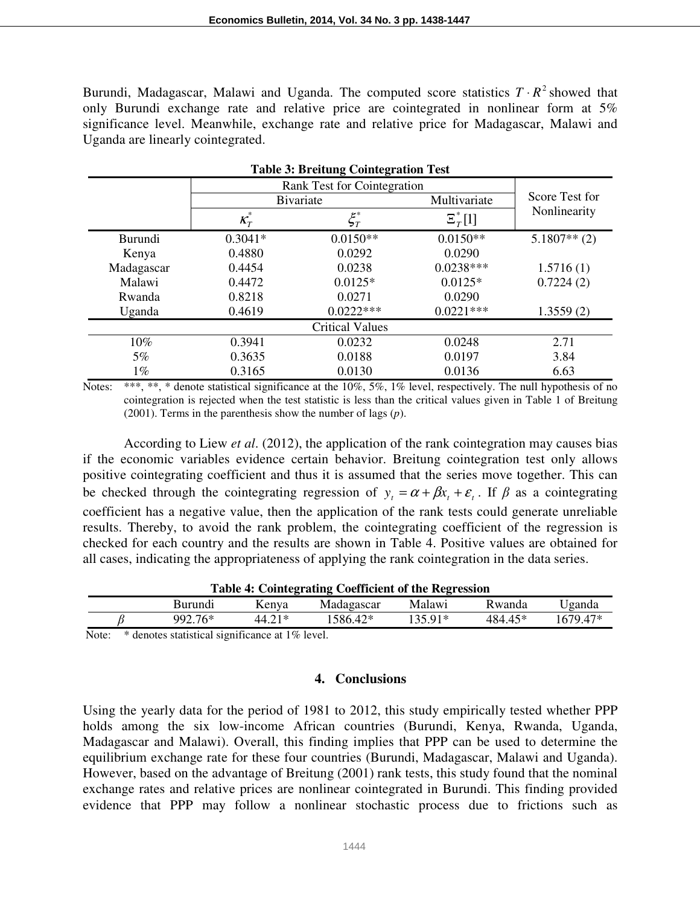Burundi, Madagascar, Malawi and Uganda. The computed score statistics  $T \cdot R^2$  showed that only Burundi exchange rate and relative price are cointegrated in nonlinear form at 5% significance level. Meanwhile, exchange rate and relative price for Madagascar, Malawi and Uganda are linearly cointegrated.

**Table 3: Breitung Cointegration Test** 

| Table 5: Dreitung Connegration Test |           |                            |              |                |  |  |
|-------------------------------------|-----------|----------------------------|--------------|----------------|--|--|
| Rank Test for Cointegration         |           |                            |              |                |  |  |
|                                     | Bivariate |                            | Multivariate | Score Test for |  |  |
|                                     | $K_T$     | $\mathcal{\mathop{E}}_T^*$ | $\Xi^*$ [1]  | Nonlinearity   |  |  |
| Burundi                             | $0.3041*$ | $0.0150**$                 | $0.0150**$   | $5.1807**$ (2) |  |  |
| Kenya                               | 0.4880    | 0.0292                     | 0.0290       |                |  |  |
| Madagascar                          | 0.4454    | 0.0238                     | $0.0238***$  | 1.5716(1)      |  |  |
| Malawi                              | 0.4472    | $0.0125*$                  | $0.0125*$    | 0.7224(2)      |  |  |
| Rwanda                              | 0.8218    | 0.0271                     | 0.0290       |                |  |  |
| Uganda                              | 0.4619    | $0.0222***$                | $0.0221***$  | 1.3559(2)      |  |  |
|                                     |           | <b>Critical Values</b>     |              |                |  |  |
| 10%                                 | 0.3941    | 0.0232                     | 0.0248       | 2.71           |  |  |
| 5%                                  | 0.3635    | 0.0188                     | 0.0197       | 3.84           |  |  |
| $1\%$                               | 0.3165    | 0.0130                     | 0.0136       | 6.63           |  |  |

Notes: \*\*\*, \*\*, \* denote statistical significance at the 10%, 5%, 1% level, respectively. The null hypothesis of no cointegration is rejected when the test statistic is less than the critical values given in Table 1 of Breitung (2001). Terms in the parenthesis show the number of lags (*p*).

According to Liew *et al*. (2012), the application of the rank cointegration may causes bias if the economic variables evidence certain behavior. Breitung cointegration test only allows positive cointegrating coefficient and thus it is assumed that the series move together. This can be checked through the cointegrating regression of  $y_t = \alpha + \beta x_t + \varepsilon_t$ . If  $\beta$  as a cointegrating coefficient has a negative value, then the application of the rank tests could generate unreliable results. Thereby, to avoid the rank problem, the cointegrating coefficient of the regression is checked for each country and the results are shown in Table 4. Positive values are obtained for all cases, indicating the appropriateness of applying the rank cointegration in the data series.

|              | Table 4: Cointegrating Coefficient of the Regression |         |        |            |         |         |          |
|--------------|------------------------------------------------------|---------|--------|------------|---------|---------|----------|
|              |                                                      | Burundi | Kenva  | Madagascar | Malawi  | Rwanda  | Jganda   |
|              |                                                      | 992.76* | 44.21* | 1586.42*   | 135 91* | 484.45* | 1679.47* |
| $\mathbf{X}$ |                                                      |         |        |            |         |         |          |

## Note: \* denotes statistical significance at 1% level.

#### **4. Conclusions**

Using the yearly data for the period of 1981 to 2012, this study empirically tested whether PPP holds among the six low-income African countries (Burundi, Kenya, Rwanda, Uganda, Madagascar and Malawi). Overall, this finding implies that PPP can be used to determine the equilibrium exchange rate for these four countries (Burundi, Madagascar, Malawi and Uganda). However, based on the advantage of Breitung (2001) rank tests, this study found that the nominal exchange rates and relative prices are nonlinear cointegrated in Burundi. This finding provided evidence that PPP may follow a nonlinear stochastic process due to frictions such as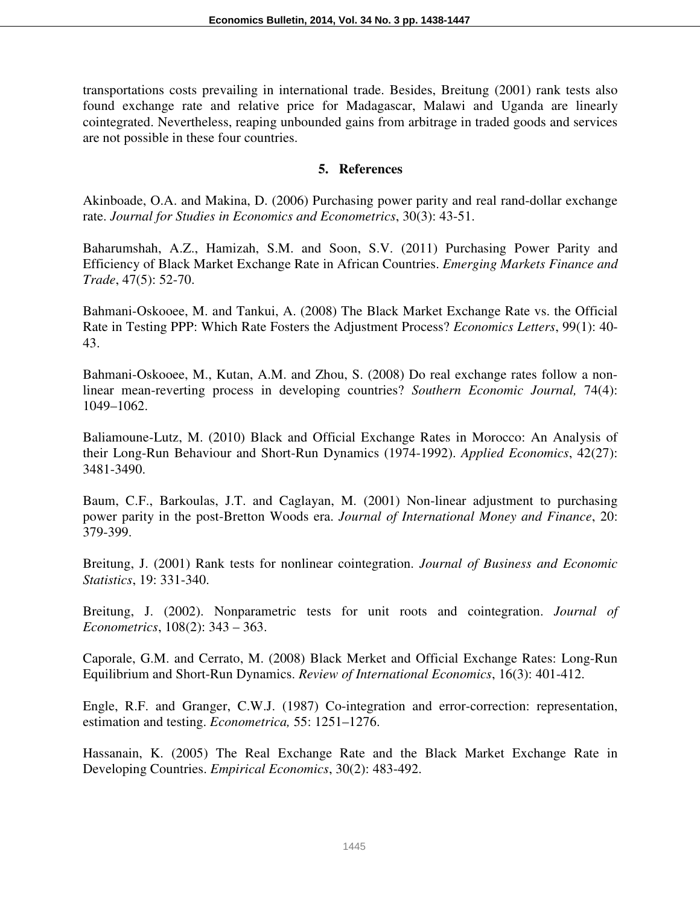transportations costs prevailing in international trade. Besides, Breitung (2001) rank tests also found exchange rate and relative price for Madagascar, Malawi and Uganda are linearly cointegrated. Nevertheless, reaping unbounded gains from arbitrage in traded goods and services are not possible in these four countries.

## **5. References**

Akinboade, O.A. and Makina, D. (2006) Purchasing power parity and real rand-dollar exchange rate. *Journal for Studies in Economics and Econometrics*, 30(3): 43-51.

Baharumshah, A.Z., Hamizah, S.M. and Soon, S.V. (2011) Purchasing Power Parity and Efficiency of Black Market Exchange Rate in African Countries. *Emerging Markets Finance and Trade*, 47(5): 52-70.

Bahmani-Oskooee, M. and Tankui, A. (2008) The Black Market Exchange Rate vs. the Official Rate in Testing PPP: Which Rate Fosters the Adjustment Process? *Economics Letters*, 99(1): 40- 43.

Bahmani-Oskooee, M., Kutan, A.M. and Zhou, S. (2008) Do real exchange rates follow a nonlinear mean-reverting process in developing countries? *Southern Economic Journal,* 74(4): 1049–1062.

Baliamoune-Lutz, M. (2010) Black and Official Exchange Rates in Morocco: An Analysis of their Long-Run Behaviour and Short-Run Dynamics (1974-1992). *Applied Economics*, 42(27): 3481-3490.

Baum, C.F., Barkoulas, J.T. and Caglayan, M. (2001) Non-linear adjustment to purchasing power parity in the post-Bretton Woods era. *Journal of International Money and Finance*, 20: 379-399.

Breitung, J. (2001) Rank tests for nonlinear cointegration. *Journal of Business and Economic Statistics*, 19: 331-340.

Breitung, J. (2002). Nonparametric tests for unit roots and cointegration. *Journal of Econometrics*, 108(2): 343 – 363.

Caporale, G.M. and Cerrato, M. (2008) Black Merket and Official Exchange Rates: Long-Run Equilibrium and Short-Run Dynamics. *Review of International Economics*, 16(3): 401-412.

Engle, R.F. and Granger, C.W.J. (1987) Co-integration and error-correction: representation, estimation and testing. *Econometrica,* 55: 1251–1276.

Hassanain, K. (2005) The Real Exchange Rate and the Black Market Exchange Rate in Developing Countries. *Empirical Economics*, 30(2): 483-492.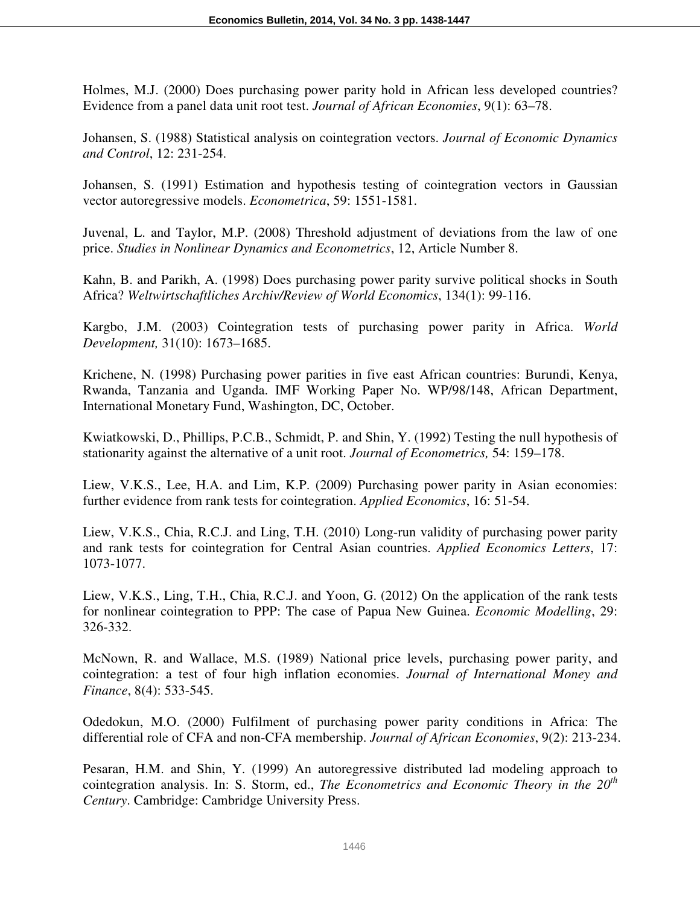Holmes, M.J. (2000) Does purchasing power parity hold in African less developed countries? Evidence from a panel data unit root test. *Journal of African Economies*, 9(1): 63–78.

Johansen, S. (1988) Statistical analysis on cointegration vectors. *Journal of Economic Dynamics and Control*, 12: 231-254.

Johansen, S. (1991) Estimation and hypothesis testing of cointegration vectors in Gaussian vector autoregressive models. *Econometrica*, 59: 1551-1581.

Juvenal, L. and Taylor, M.P. (2008) Threshold adjustment of deviations from the law of one price. *Studies in Nonlinear Dynamics and Econometrics*, 12, Article Number 8.

Kahn, B. and Parikh, A. (1998) Does purchasing power parity survive political shocks in South Africa? *Weltwirtschaftliches Archiv/Review of World Economics*, 134(1): 99-116.

Kargbo, J.M. (2003) Cointegration tests of purchasing power parity in Africa. *World Development,* 31(10): 1673–1685.

Krichene, N. (1998) Purchasing power parities in five east African countries: Burundi, Kenya, Rwanda, Tanzania and Uganda. IMF Working Paper No. WP/98/148, African Department, International Monetary Fund, Washington, DC, October.

Kwiatkowski, D., Phillips, P.C.B., Schmidt, P. and Shin, Y. (1992) Testing the null hypothesis of stationarity against the alternative of a unit root. *Journal of Econometrics,* 54: 159–178.

Liew, V.K.S., Lee, H.A. and Lim, K.P. (2009) Purchasing power parity in Asian economies: further evidence from rank tests for cointegration. *Applied Economics*, 16: 51-54.

Liew, V.K.S., Chia, R.C.J. and Ling, T.H. (2010) Long-run validity of purchasing power parity and rank tests for cointegration for Central Asian countries. *Applied Economics Letters*, 17: 1073-1077.

Liew, V.K.S., Ling, T.H., Chia, R.C.J. and Yoon, G. (2012) On the application of the rank tests for nonlinear cointegration to PPP: The case of Papua New Guinea. *Economic Modelling*, 29: 326-332.

McNown, R. and Wallace, M.S. (1989) National price levels, purchasing power parity, and cointegration: a test of four high inflation economies. *Journal of International Money and Finance*, 8(4): 533-545.

Odedokun, M.O. (2000) Fulfilment of purchasing power parity conditions in Africa: The differential role of CFA and non-CFA membership. *Journal of African Economies*, 9(2): 213-234.

Pesaran, H.M. and Shin, Y. (1999) An autoregressive distributed lad modeling approach to cointegration analysis. In: S. Storm, ed., *The Econometrics and Economic Theory in the 20th Century*. Cambridge: Cambridge University Press.